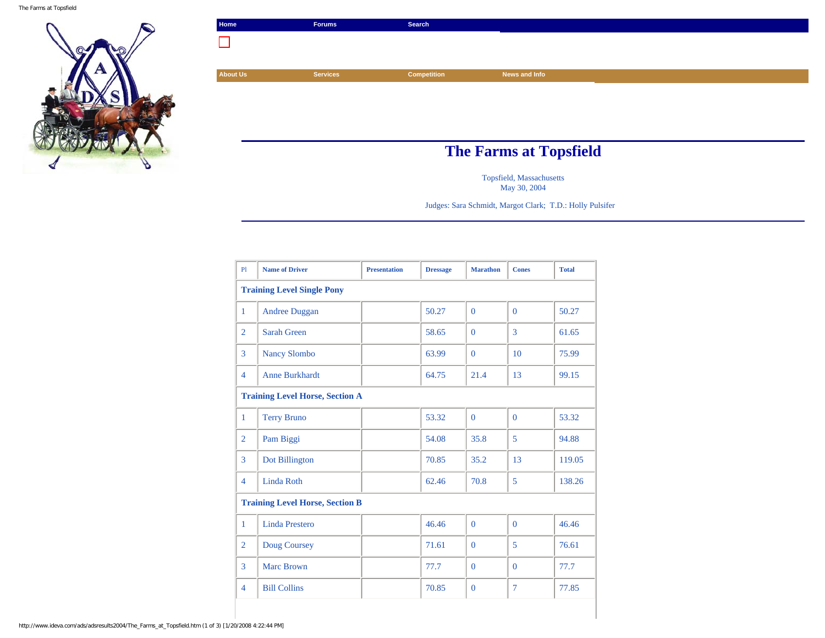

| Home            | <b>Forums</b>                 | Search             |               |  |
|-----------------|-------------------------------|--------------------|---------------|--|
| H               |                               |                    |               |  |
|                 |                               |                    |               |  |
| <b>About Us</b> | <b>Services</b>               | <b>Competition</b> | News and Info |  |
|                 |                               |                    |               |  |
|                 |                               |                    |               |  |
|                 |                               |                    |               |  |
|                 |                               |                    |               |  |
|                 | <b>The Farms at Topsfield</b> |                    |               |  |

Topsfield, Massachusetts May 30, 2004

Judges: Sara Schmidt, Margot Clark; T.D.: Holly Pulsifer

| P1                                     | <b>Name of Driver</b> | <b>Presentation</b> | <b>Dressage</b> | <b>Marathon</b> | <b>Cones</b> | <b>Total</b> |
|----------------------------------------|-----------------------|---------------------|-----------------|-----------------|--------------|--------------|
| <b>Training Level Single Pony</b>      |                       |                     |                 |                 |              |              |
| $\mathbf{1}$                           | <b>Andree Duggan</b>  |                     | 50.27           | $\Omega$        | $\Omega$     | 50.27        |
| $\overline{2}$                         | <b>Sarah Green</b>    |                     | 58.65           | $\Omega$        | 3            | 61.65        |
| 3                                      | <b>Nancy Slombo</b>   |                     | 63.99           | $\Omega$        | 10           | 75.99        |
| $\overline{4}$                         | <b>Anne Burkhardt</b> |                     | 64.75           | 21.4            | 13           | 99.15        |
| <b>Training Level Horse, Section A</b> |                       |                     |                 |                 |              |              |
| $\mathbf{1}$                           | <b>Terry Bruno</b>    |                     | 53.32           | $\mathbf{0}$    | $\mathbf{0}$ | 53.32        |
| $\overline{2}$                         | Pam Biggi             |                     | 54.08           | 35.8            | 5            | 94.88        |
| 3                                      | Dot Billington        |                     | 70.85           | 35.2            | 13           | 119.05       |
| $\overline{4}$                         | <b>Linda Roth</b>     |                     | 62.46           | 70.8            | 5            | 138.26       |
| <b>Training Level Horse, Section B</b> |                       |                     |                 |                 |              |              |
| 1                                      | <b>Linda Prestero</b> |                     | 46.46           | $\Omega$        | $\Omega$     | 46.46        |
| $\overline{2}$                         | Doug Coursey          |                     | 71.61           | $\Omega$        | 5            | 76.61        |
| 3                                      | <b>Marc Brown</b>     |                     | 77.7            | $\Omega$        | $\Omega$     | 77.7         |
| $\overline{4}$                         | <b>Bill Collins</b>   |                     | 70.85           | $\mathbf{0}$    | 7            | 77.85        |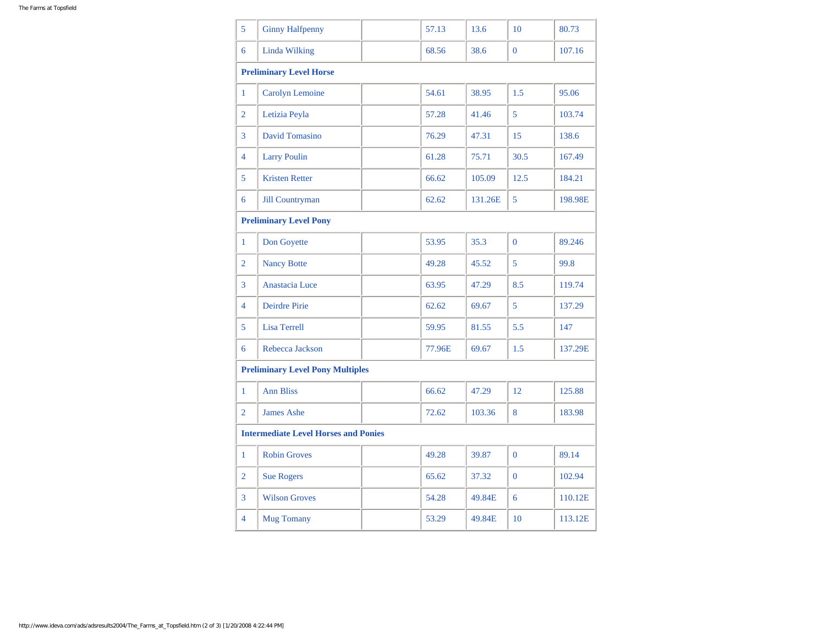| 5                                           | <b>Ginny Halfpenny</b>                  |  | 57.13  | 13.6    | 10             | 80.73   |  |
|---------------------------------------------|-----------------------------------------|--|--------|---------|----------------|---------|--|
| 6                                           | <b>Linda Wilking</b>                    |  | 68.56  | 38.6    | $\overline{0}$ | 107.16  |  |
|                                             | <b>Preliminary Level Horse</b>          |  |        |         |                |         |  |
| 1                                           | Carolyn Lemoine                         |  | 54.61  | 38.95   | 1.5            | 95.06   |  |
| $\overline{2}$                              | Letizia Peyla                           |  | 57.28  | 41.46   | 5              | 103.74  |  |
| 3                                           | <b>David Tomasino</b>                   |  | 76.29  | 47.31   | 15             | 138.6   |  |
| 4                                           | <b>Larry Poulin</b>                     |  | 61.28  | 75.71   | 30.5           | 167.49  |  |
| 5                                           | <b>Kristen Retter</b>                   |  | 66.62  | 105.09  | 12.5           | 184.21  |  |
| 6                                           | <b>Jill Countryman</b>                  |  | 62.62  | 131.26E | 5              | 198.98E |  |
| <b>Preliminary Level Pony</b>               |                                         |  |        |         |                |         |  |
| $\mathbf{1}$                                | Don Goyette                             |  | 53.95  | 35.3    | $\Omega$       | 89.246  |  |
| $\overline{2}$                              | <b>Nancy Botte</b>                      |  | 49.28  | 45.52   | 5              | 99.8    |  |
| 3                                           | Anastacia Luce                          |  | 63.95  | 47.29   | 8.5            | 119.74  |  |
| 4                                           | <b>Deirdre Pirie</b>                    |  | 62.62  | 69.67   | 5              | 137.29  |  |
| 5                                           | <b>Lisa Terrell</b>                     |  | 59.95  | 81.55   | 5.5            | 147     |  |
| 6                                           | Rebecca Jackson                         |  | 77.96E | 69.67   | 1.5            | 137.29E |  |
|                                             | <b>Preliminary Level Pony Multiples</b> |  |        |         |                |         |  |
| 1                                           | <b>Ann Bliss</b>                        |  | 66.62  | 47.29   | 12             | 125.88  |  |
| $\overline{2}$                              | <b>James Ashe</b>                       |  | 72.62  | 103.36  | 8              | 183.98  |  |
| <b>Intermediate Level Horses and Ponies</b> |                                         |  |        |         |                |         |  |
| $\mathbf{1}$                                | <b>Robin Groves</b>                     |  | 49.28  | 39.87   | $\mathbf{0}$   | 89.14   |  |
| $\overline{2}$                              | <b>Sue Rogers</b>                       |  | 65.62  | 37.32   | $\Omega$       | 102.94  |  |
| 3                                           | <b>Wilson Groves</b>                    |  | 54.28  | 49.84E  | 6              | 110.12E |  |
| 4                                           | <b>Mug Tomany</b>                       |  | 53.29  | 49.84E  | 10             | 113.12E |  |
|                                             |                                         |  |        |         |                |         |  |